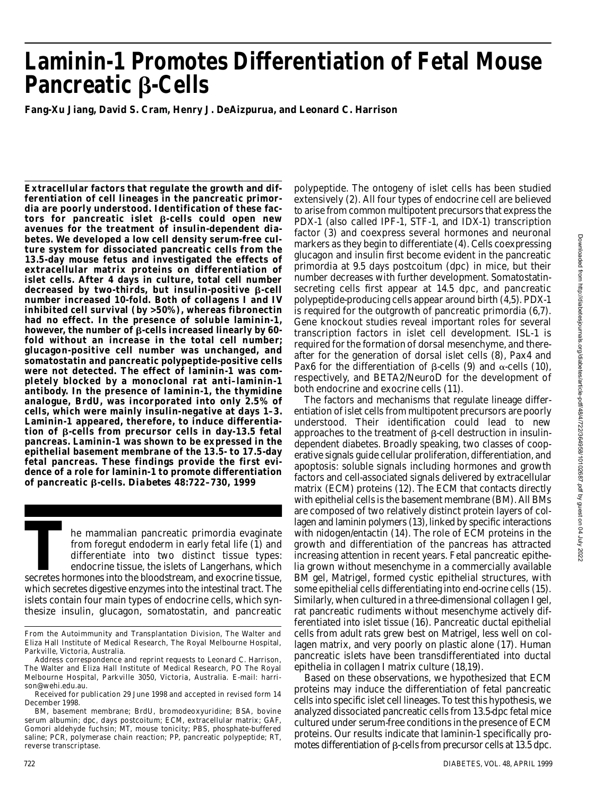# **Laminin-1 Promotes Differentiation of Fetal Mouse** Pancreatic *B*-Cells

**Fang-Xu Jiang, David S. Cram, Henry J. DeAizpurua, and Leonard C. Harrison**

**Extracellular factors that regulate the growth and differentiation of cell lineages in the pancreatic primordia are poorly understood. Identification of these fac** $tors$  for pancreatic islet  $\beta$ -cells could open new **avenues for the treatment of insulin-dependent diabetes. We developed a low cell density serum-free culture system for dissociated pancreatic cells from the 13.5-day mouse fetus and investigated the effects of extracellular matrix proteins on differentiation of islet cells. After 4 days in culture, total cell number** decreased by two-thirds, but insulin-positive β-cell **number increased 10-fold. Both of collagens I and IV inhibited cell survival (by >50%), whereas fibronectin had no effect. In the presence of soluble laminin-1, however, the number of β-cells increased linearly by 60fold without an increase in the total cell number; glucagon-positive cell number was unchanged, and somatostatin and pancreatic polypeptide-positive cells were not detected. The effect of laminin-1 was completely blocked by a monoclonal rat anti–laminin-1** antibody. In the presence of laminin-1, the thymidine **analogue, BrdU, was incorporated into only 2.5% of cells, which were mainly insulin-negative at days 1–3.** Laminin-1 appeared, therefore, to induce differentiation of β-cells from precursor cells in day-13.5 fetal **pancreas. Laminin-1 was shown to be expressed in the epithelial basement membrane of the 13.5- to 17.5-day fetal pancreas. These findings provide the first evi**dence of a role for laminin-1 to promote differentiation **of pancreatic β-cells.** *Diabetes* **48:722-730, 1999** 

The mammalian pancreatic primordia evaginate<br>
from foregut endoderm in early fetal life (1) and<br>
differentiate into two distinct tissue types:<br>
endocrine tissue, the islets of Langerhans, which<br>
secretes hormones into the he mammalian pancreatic primordia evaginate from foregut endoderm in early fetal life (1) and differentiate into two distinct tissue types: endocrine tissue, the islets of Langerhans, which which secretes digestive enzymes into the intestinal tract. The islets contain four main types of endocrine cells, which synthesize insulin, glucagon, somatostatin, and pancreatic

polypeptide. The ontogeny of islet cells has been studied extensively (2). All four types of endocrine cell are believed to arise from common multipotent precursors that express the PDX-1 (also called IPF-1, STF-1, and IDX-1) transcription factor (3) and coexpress several hormones and neuronal markers as they begin to differentiate (4). Cells coexpressing glucagon and insulin first become evident in the pancreatic primordia at 9.5 days postcoitum (dpc) in mice, but their number decreases with further development. Somatostatinsecreting cells first appear at 14.5 dpc, and pancreatic polypeptide-producing cells appear around birth (4,5). PDX-1 is required for the outgrowth of pancreatic primordia (6,7). Gene knockout studies reveal important roles for several transcription factors in islet cell development. ISL-1 is required for the formation of dorsal mesenchyme, and thereafter for the generation of dorsal islet cells (8), Pax4 and Pax6 for the differentiation of  $\beta$ -cells (9) and  $\alpha$ -cells (10), respectively, and BETA2/NeuroD for the development of both endocrine and exocrine cells (11).

The factors and mechanisms that regulate lineage differentiation of islet cells from multipotent precursors are poorly understood. Their identification could lead to new approaches to the treatment of  $\beta$ -cell destruction in insulindependent diabetes. Broadly speaking, two classes of cooperative signals guide cellular proliferation, differentiation, and apoptosis: soluble signals including hormones and growth factors and cell-associated signals delivered by extracellular matrix (ECM) proteins (12). The ECM that contacts directly with epithelial cells is the basement membrane (BM). All BMs are composed of two relatively distinct protein layers of collagen and laminin polymers (13), linked by specific interactions with nidogen/entactin (14). The role of ECM proteins in the growth and differentiation of the pancreas has attracted increasing attention in recent years. Fetal pancreatic epithelia grown without mesenchyme in a commercially available BM gel, Matrigel, formed cystic epithelial structures, with some epithelial cells differentiating into end-ocrine cells (15). Similarly, when cultured in a three-dimensional collagen I gel, rat pancreatic rudiments without mesenchyme actively differentiated into islet tissue (16). Pancreatic ductal epithelial cells from adult rats grew best on Matrigel, less well on collagen matrix, and very poorly on plastic alone (17). Human pancreatic islets have been transdifferentiated into ductal epithelia in collagen I matrix culture (18,19).

Based on these observations, we hypothesized that ECM proteins may induce the differentiation of fetal pancreatic cells into specific islet cell lineages. To test this hypothesis, we analyzed dissociated pancreatic cells from 13.5-dpc fetal mice cultured under serum-free conditions in the presence of ECM proteins. Our results indicate that laminin-1 specifically promotes differentiation of  $\beta$ -cells from precursor cells at 13.5 dpc.

From the Autoimmunity and Transplantation Division, The Walter and Eliza Hall Institute of Medical Research, The Royal Melbourne Hospital, Parkville, Victoria, Australia.

Address correspondence and reprint requests to Leonard C. Harrison, The Walter and Eliza Hall Institute of Medical Research, PO The Royal Melbourne Hospital, Parkville 3050, Victoria, Australia. E-mail: harrison@wehi.edu.au.

Received for publication 29 June 1998 and accepted in revised form 14 December 1998.

BM, basement membrane; BrdU, bromodeoxyuridine; BSA, bovine serum albumin; dpc, days postcoitum; ECM, extracellular matrix; GAF, Gomori aldehyde fuchsin; MT, mouse tonicity; PBS, phosphate-buffered saline; PCR, polymerase chain reaction; PP, pancreatic polypeptide; RT, reverse transcriptase.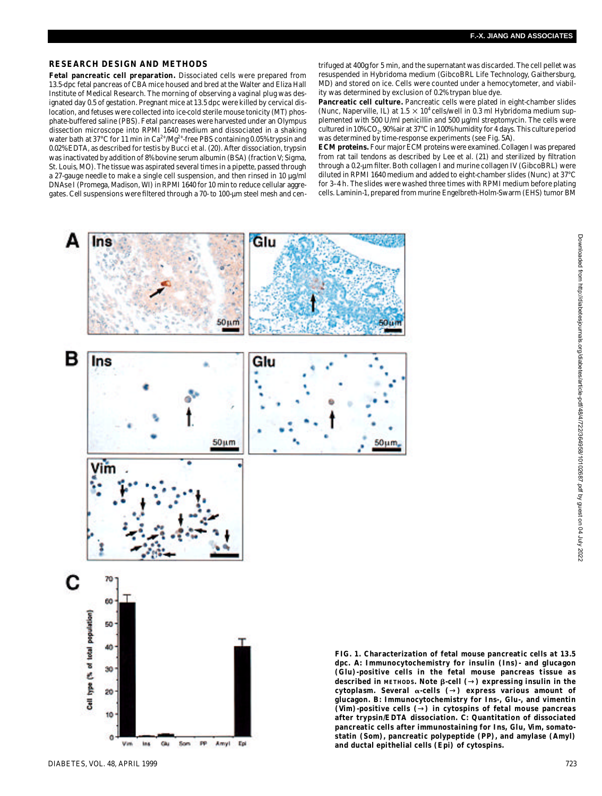## **RESEARCH DESIGN AND METHODS**

**Fetal pancreatic cell preparation.** Dissociated cells were prepared from 13.5-dpc fetal pancreas of CBA mice housed and bred at the Walter and Eliza Hall Institute of Medical Research. The morning of observing a vaginal plug was designated day 0.5 of gestation. Pregnant mice at 13.5 dpc were killed by cervical dislocation, and fetuses were collected into ice-cold sterile mouse tonicity (MT) phosphate-buffered saline (PBS). Fetal pancreases were harvested under an Olympus dissection microscope into RPMI 1640 medium and dissociated in a shaking water bath at 37°C for 11 min in  $Ca^{2+}/Mg^{2+}$ -free PBS containing 0.05% trypsin and 0.02% EDTA, as described for testis by Bucci et al. (20). After dissociation, trypsin was inactivated by addition of 8% bovine serum albumin (BSA) (fraction V; Sigma, St. Louis, MO). The tissue was aspirated several times in a pipette, passed through a 27-gauge needle to make a single cell suspension, and then rinsed in 10 µg/ml DNAse I (Promega, Madison, WI) in RPMI 1640 for 10 min to reduce cellular aggregates. Cell suspensions were filtered through a 70- to 100-µm steel mesh and cen-

trifuged at 400*g* for 5 min, and the supernatant was discarded. The cell pellet was resuspended in Hybridoma medium (GibcoBRL Life Technology, Gaithersburg, MD) and stored on ice. Cells were counted under a hemocytometer, and viability was determined by exclusion of 0.2% trypan blue dye.

**Pancreatic cell culture.** Pancreatic cells were plated in eight-chamber slides (Nunc, Naperville, IL) at 1.5  $\times$  10<sup>4</sup> cells/well in 0.3 ml Hybridoma medium supplemented with 500 U/ml penicillin and 500 µg/ml streptomycin. The cells were cultured in 10% CO<sub>2</sub>, 90% air at 37°C in 100% humidity for 4 days. This culture period was determined by time-response experiments (see Fig. 5*A*) .

**ECM proteins.** Four major ECM proteins were examined. Collagen I was prepared from rat tail tendons as described by Lee et al. (21) and sterilized by filtration through a 0.2-µm filter. Both collagen I and murine collagen IV (GibcoBRL) were diluted in RPMI 1640 medium and added to eight-chamber slides (Nunc) at 37°C for 3–4 h. The slides were washed three times with RPMI medium before plating cells. Laminin-1, prepared from murine Engelbreth-Holm-Swarm (EHS) tumor BM

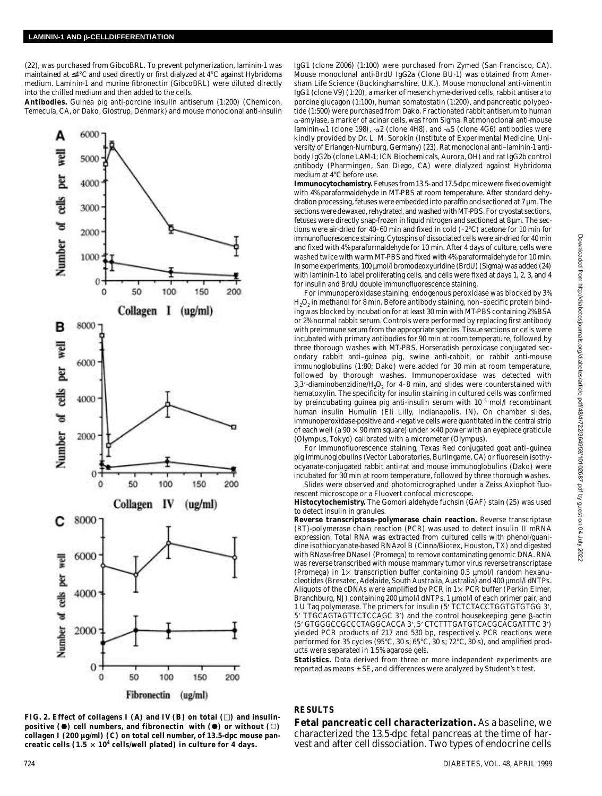(22), was purchased from GibcoBRL. To prevent polymerization, laminin-1 was maintained at 4°C and used directly or first dialyzed at 4°C against Hybridoma medium. Laminin-1 and murine fibronectin (GibcoBRL) were diluted directly into the chilled medium and then added to the cells.

Antibodies. Guinea pig anti-porcine insulin antiserum (1:200) (Chemicon, Temecula, CA, or Dako, Glostrup, Denmark) and mouse monoclonal anti-insulin



**FIG. 2. Effect of collagens I (***A***) and IV (***B***) on total ( ) and insulinpositive (0) cell numbers, and fibronectin with (0) or without (0) collagen I (200 µg/ml) (***C***) on total cell number, of 13.5-dpc mouse pan**creatic cells (1.5  $\times$  10<sup>4</sup> cells/well plated) in culture for 4 days.

IgG1 (clone Z006) (1:100) were purchased from Zymed (San Francisco, CA). Mouse monoclonal anti-BrdU IgG2a (Clone BU-1) was obtained from Amersham Life Science (Buckinghamshire, U.K.). Mouse monoclonal anti-vimentin IgG1 (clone V9) (1:20), a marker of mesenchyme-derived cells, rabbit antisera to porcine glucagon (1:100), human somatostatin (1:200), and pancreatic polypeptide (1:500) were purchased from Dako. Fractionated rabbit antiserum to human -amylase, a marker of acinar cells, was from Sigma. Rat monoclonal anti-mouse laminin- $\alpha$ 1 (clone 198), - $\alpha$ 2 (clone 4H8), and - $\alpha$ 5 (clone 4G6) antibodies were kindly provided by Dr. L. M. Sorokin (Institute of Experimental Medicine, University of Erlangen-Nurnburg, Germany) (23). Rat monoclonal anti–laminin-1 antibody IgG2b (clone LAM-1; ICN Biochemicals, Aurora, OH) and rat IgG2b control antibody (Pharmingen, San Diego, CA) were dialyzed against Hybridoma medium at 4°C before use.

**Immunocytochemistry.** Fetuses from 13.5- and 17.5-dpc mice were fixed overnight with 4% paraformaldehyde in MT-PBS at room temperature. After standard dehydration processing, fetuses were embedded into paraffin and sectioned at 7 µm. The sections were dewaxed, rehydrated, and washed with MT-PBS. For cryostat sections, fetuses were directly snap-frozen in liquid nitrogen and sectioned at 8 µm. The sections were air-dried for 40–60 min and fixed in cold (–2°C) acetone for 10 min for immunofluorescence staining. Cytospins of dissociated cells were air-dried for 40 min and fixed with 4% paraformaldehyde for 10 min. After 4 days of culture, cells were washed twice with warm MT-PBS and fixed with 4% paraformaldehyde for 10 min. In some experiments, 100 µmol/l bromodeoxyuridine (BrdU) (Sigma) was added (24) with laminin-1 to label proliferating cells, and cells were fixed at days 1, 2, 3, and 4 for insulin and BrdU double immunofluorescence staining.

For immunoperoxidase staining, endogenous peroxidase was blocked by 3%  $\mathsf{H}_2\mathsf{O}_2$  in methanol for 8 min. Before antibody staining, non–specific protein binding was blocked by incubation for at least 30 min with MT-PBS containing 2% BSA or 2% normal rabbit serum. Controls were performed by replacing first antibody with preimmune serum from the appropriate species. Tissue sections or cells were incubated with primary antibodies for 90 min at room temperature, followed by three thorough washes with MT-PBS. Horseradish peroxidase conjugated secondary rabbit anti–guinea pig, swine anti-rabbit, or rabbit anti-mouse immunoglobulins (1:80; Dako) were added for 30 min at room temperature, followed by thorough washes. Immunoperoxidase was detected with 3,3'-diaminobenzidine/H<sub>2</sub>O<sub>2</sub> for 4–8 min, and slides were counterstained with hematoxylin. The specificity for insulin staining in cultured cells was confirmed by preincubating guinea pig anti-insulin serum with 10<sup>-5</sup> mol/l recombinant human insulin Humulin (Eli Lilly, Indianapolis, IN). On chamber slides, immunoperoxidase-positive and -negative cells were quantitated in the central strip of each well (a 90  $\times$  90 mm square) under  $\times$ 40 power with an eyepiece graticule (Olympus, Tokyo) calibrated with a micrometer (Olympus).

For immunofluorescence staining, Texas Red conjugated goat anti–guinea pig immunoglobulins (Vector Laboratories, Burlingame, CA) or fluoresein isothyocyanate-conjugated rabbit anti-rat and mouse immunoglobulins (Dako) were incubated for 30 min at room temperature, followed by three thorough washes. Slides were observed and photomicrographed under a Zeiss Axiophot fluo-

rescent microscope or a Fluovert confocal microscope. Histocytochemistry. The Gomori aldehyde fuchsin (GAF) stain (25) was used

to detect insulin in granules. **Reverse transcriptase–polymerase chain reaction.** Reverse transcriptase (RT)-polymerase chain reaction (PCR) was used to detect insulin II mRNA expression. Total RNA was extracted from cultured cells with phenol/guanidine isothiocyanate-based RNAzol B (Cinna/Biotex, Houston, TX) and digested with RNase-free DNase I (Promega) to remove contaminating genomic DNA. RNA was reverse transcribed with mouse mammary tumor virus reverse transcriptase (Promega) in  $1 \times$  transcription buffer containing 0.5 µmol/l random hexanucleotides (Bresatec, Adelaide, South Australia, Australia) and 400 µmol/l dNTPs. Aliquots of the cDNAs were amplified by PCR in  $1 \times$  PCR buffer (Perkin Elmer, Branchburg, NJ) containing 200 µmol/l dNTPs, 1 µmol/l of each primer pair, and 1 U Taq polymerase. The primers for insulin (5' TCTCTACCTGGTGTGTGG 3', 5' TTGCAGTAGTTCTCCAGC 3') and the control housekeeping gene B-actin (5' GTGGGCCGCCCTAGGCACCA 3', 5' CTCTTTGATGTCACGCACGATTTC 3') yielded PCR products of 217 and 530 bp, respectively. PCR reactions were performed for 35 cycles (95°C, 30 s; 65°C, 30 s; 72°C, 30 s), and amplified products were separated in 1.5% agarose gels.

**Statistics.** Data derived from three or more independent experiments are reported as means ± SE, and differences were analyzed by Student's t test.

## **RESULTS**

**Fetal pancreatic cell characterization.** As a baseline, we characterized the 13.5-dpc fetal pancreas at the time of harvest and after cell dissociation. Two types of endocrine cells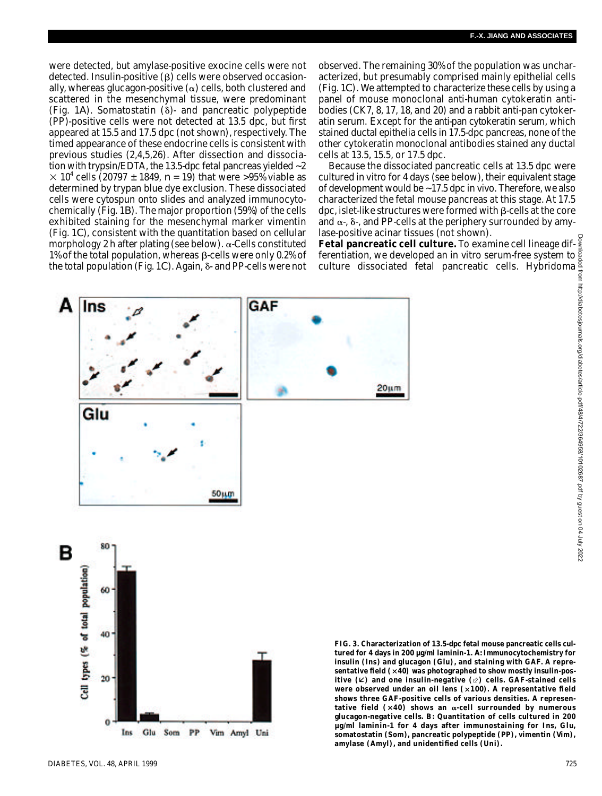were detected, but amylase-positive exocine cells were not detected. Insulin-positive  $(\beta)$  cells were observed occasionally, whereas glucagon-positive  $(\alpha)$  cells, both clustered and scattered in the mesenchymal tissue, were predominant (Fig.  $1A$ ). Somatostatin  $(\delta)$ - and pancreatic polypeptide  $(PP)$ -positive cells were not detected at 13.5 dpc, but first appeared at 15.5 and 17.5 dpc (not shown), respectively. The timed appearance of these endocrine cells is consistent with previous studies (2,4,5,26). After dissection and dissociation with trypsin/EDTA, the 13.5-dpc fetal pancreas yielded ~2 10<sup>4</sup> cells (20797  $\pm$  1849,  $n = 19$ ) that were >95% viable as determined by trypan blue dye exclusion. These dissociated cells were cytospun onto slides and analyzed immunocytochemically (Fig. 1*B*). The major proportion (59%) of the cells exhibited staining for the mesenchymal marker vimentin (Fig. 1*C*), consistent with the quantitation based on cellular morphology 2 h after plating (see below).  $\alpha$ -Cells constituted 1% of the total population, whereas  $\beta$ -cells were only 0.2% of the total population (Fig. 1*C*). Again, δ- and PP-cells were not observed. The remaining 30% of the population was uncharacterized, but presumably comprised mainly epithelial cells (Fig. 1*C*). We attempted to characterize these cells by using a panel of mouse monoclonal anti-human cytokeratin antibodies (CK7, 8, 17, 18, and 20) and a rabbit anti-pan cytokeratin serum. Except for the anti-pan cytokeratin serum, which stained ductal epithelia cells in 17.5-dpc pancreas, none of the other cytokeratin monoclonal antibodies stained any ductal cells at 13.5, 15.5, or 17.5 dpc.

Because the dissociated pancreatic cells at 13.5 dpc were cultured in vitro for 4 days (see below), their equivalent stage of development would be ~17.5 dpc in vivo. Therefore, we also characterized the fetal mouse pancreas at this stage. At 17.5 dpc, islet-like structures were formed with  $\beta$ -cells at the core and  $\alpha$ -,  $\delta$ -, and PP-cells at the periphery surrounded by amylase-positive acinar tissues (not shown).

**Fetal pancreatic cell culture.** To examine cell lineage differentiation, we developed an in vitro serum-free system to culture dissociated fetal pancreatic cells. Hybridoma



**FIG. 3. Characterization of 13.5-dpc fetal mouse pancreatic cells cultured for 4 days in 200 µg/ml laminin-1.** *A***: Immunocytochemistry for insulin (Ins) and glucagon (Glu), and staining with GAF. A representative field ( 40) was photographed to show mostly insulin-positive (**Â**) and one insulin-negative (**˜**) cells. GAF-stained cells** were observed under an oil lens (x100). A representative field **shows three GAF-positive cells of various densities. A represen**tative field  $(x40)$  shows an  $\alpha$ -cell surrounded by numerous **glucagon-negative cells.** *B***: Quantitation of cells cultured in 200 µg/ml laminin-1 for 4 days after immunostaining for Ins, Glu,** somatostatin (Som), pancreatic polypeptide (PP), vimentin (Vim),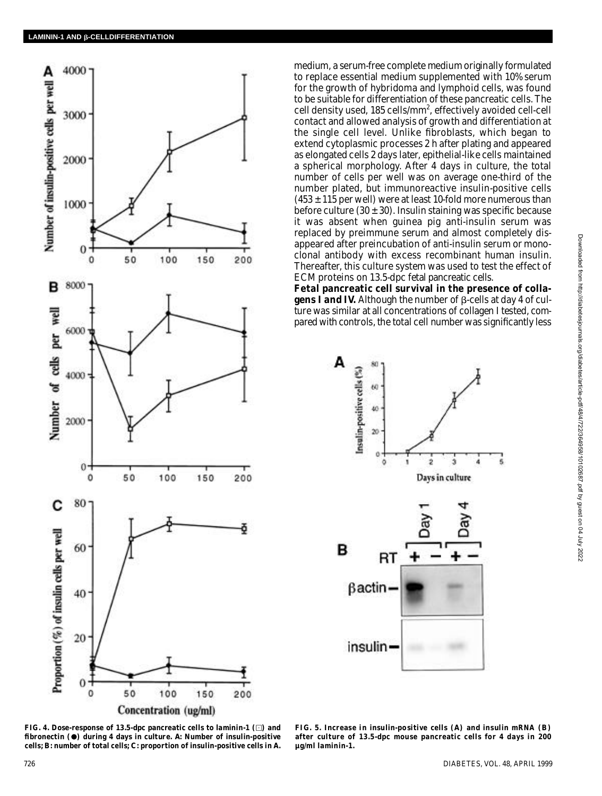

medium, a serum-free complete medium originally formulated to replace essential medium supplemented with 10% serum for the growth of hybridoma and lymphoid cells, was found to be suitable for differentiation of these pancreatic cells. The cell density used, 185 cells/mm<sup>2</sup>, effectively avoided cell-cell contact and allowed analysis of growth and differentiation at the single cell level. Unlike fibroblasts, which began to extend cytoplasmic processes 2 h after plating and appeared as elongated cells 2 days later, epithelial-like cells maintained a spherical morphology. After 4 days in culture, the total number of cells per well was on average one-third of the number plated, but immunoreactive insulin-positive cells  $(453 \pm 115$  per well) were at least 10-fold more numerous than before culture (30  $\pm$  30). Insulin staining was specific because it was absent when guinea pig anti-insulin serum was replaced by preimmune serum and almost completely disappeared after preincubation of anti-insulin serum or monoclonal antibody with excess recombinant human insulin. Thereafter, this culture system was used to test the effect of ECM proteins on 13.5-dpc fetal pancreatic cells.

**Fetal pancreatic cell survival in the presence of collagens I and IV.** Although the number of  $\beta$ -cells at day 4 of culture was similar at all concentrations of collagen I tested, compared with controls, the total cell number was significantly less



**FIG. 4. Dose-response of 13.5-dpc pancreatic cells to laminin-1 ( ) and fibronectin ( ) during 4 days in culture.** *A***: Number of insulin-positive cells;** *B***: number of total cells;** *C***: proportion of insulin-positive cells in** *A***.**

**FIG. 5. Increase in insulin-positive cells (***A***) and insulin mRNA (***B***) after culture of 13.5-dpc mouse pancreatic cells for 4 days in 200 µg/ml laminin-1.**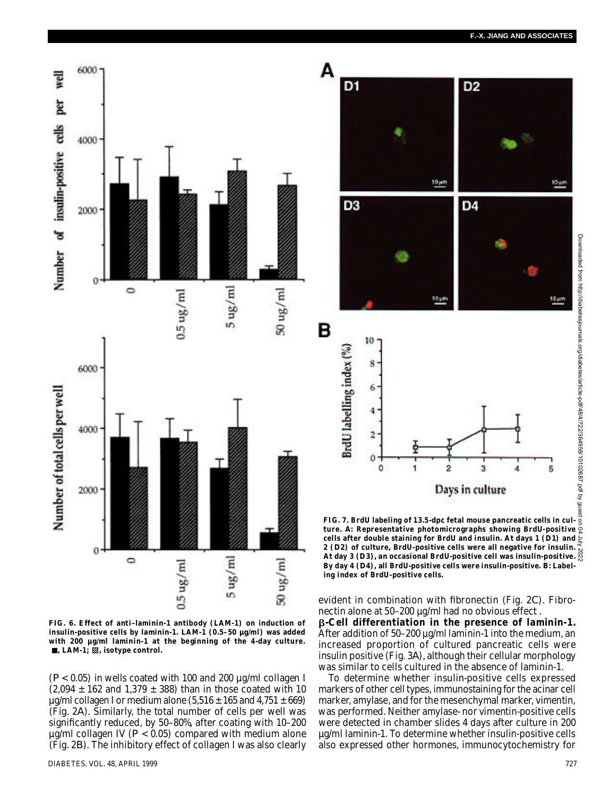

**FIG. 6. Effect of anti–laminin-1 antibody (LAM-1) on induction of insulin-positive cells by laminin-1. LAM-1 (0.5–50 µg/ml) was added with 200 µg/ml laminin-1 at the beginning of the 4-day culture.**  $\blacksquare$ , LAM-1;  $\mathbb Z$ , isotype control.

(*P* < 0.05) in wells coated with 100 and 200 µg/ml collagen I  $(2,094 \pm 162$  and  $1,379 \pm 388)$  than in those coated with 10  $\mu$ g/ml collagen I or medium alone (5,516  $\pm$  165 and 4,751  $\pm$  669) (Fig. 2*A*). Similarly, the total number of cells per well was significantly reduced, by 50–80%, after coating with 10–200 µg/ml collagen IV (*P* < 0.05) compared with medium alone (Fig. 2*B*). The inhibitory effect of collagen I was also clearly



**FIG. 7. BrdU labeling of 13.5-dpc fetal mouse pancreatic cells in culture.** *A***: Representative photomicrographs showing BrdU-positive cells after double staining for BrdU and insulin. At days 1 (***D 1***) and 2 (***D 2***) of culture, BrdU-positive cells were all negative for insulin.** ens are: www.resensume.<br>**2 (***D2***) of culture, BrdU-positive cells were all negative for insulin-<br>At day 3 (***D3***), an occasional BrdU-positive cell was insulin-positive.** By day 4 (D4), all BrdU-positive cells were insulin-positive. B: Label**ing index of BrdU-positive cells.**

evident in combination with fibronectin (Fig. 2*C*). Fibronectin alone at 50–200 µg/ml had no obvious effect . **-Cell differentiation in the presence of laminin-1.** After addition of 50–200 µg/ml laminin-1 into the medium, an increased proportion of cultured pancreatic cells were insulin positive (Fig. 3*A*), although their cellular morphology was similar to cells cultured in the absence of laminin-1.

To determine whether insulin-positive cells expressed markers of other cell types, immunostaining for the acinar cell marker, amylase, and for the mesenchymal marker, vimentin, was performed. Neither amylase- nor vimentin-positive cells were detected in chamber slides 4 days after culture in 200 µg/ml laminin-1. To determine whether insulin-positive cells also expressed other hormones, immunocytochemistry for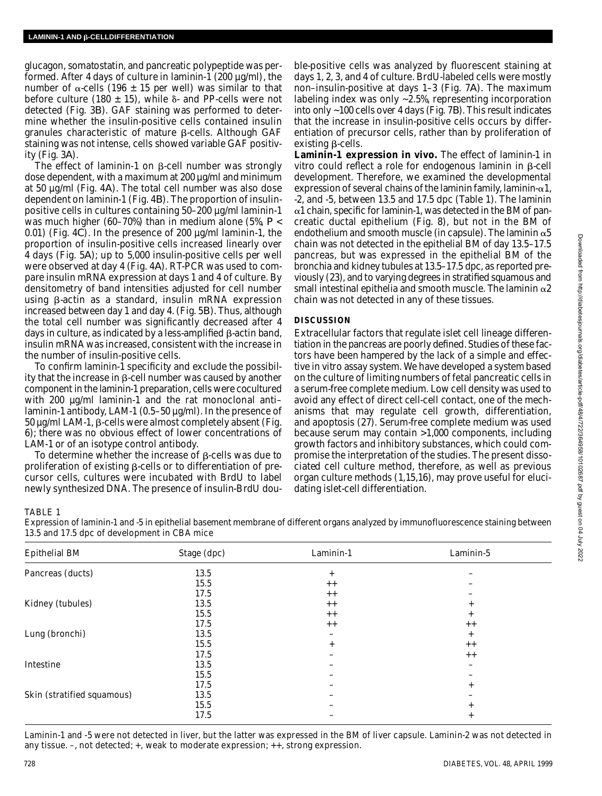glucagon, somatostatin, and pancreatic polypeptide was performed. After 4 days of culture in laminin-1 (200 µg/ml), the number of  $\alpha$ -cells (196  $\pm$  15 per well) was similar to that before culture (180  $\pm$  15), while  $\delta$ - and PP-cells were not detected (Fig. 3*B*). GAF staining was performed to determine whether the insulin-positive cells contained insulin granules characteristic of mature  $\beta$ -cells. Although GAF staining was not intense, cells showed variable GAF positivity (Fig. 3*A*) .

The effect of laminin-1 on  $\beta$ -cell number was strongly dose dependent, with a maximum at 200 µg/ml and minimum at 50 µg/ml (Fig. 4*A*). The total cell number was also dose dependent on laminin-1 (Fig. 4*B*). The proportion of insulinpositive cells in cultures containing 50–200 µg/ml laminin-1 was much higher (60–70%) than in medium alone (5%, *P* < 0.01) (Fig. 4*C*). In the presence of 200 µg/ml laminin-1, the proportion of insulin-positive cells increased linearly over 4 days (Fig. 5*A*); up to 5,000 insulin-positive cells per well were observed at day 4 (Fig. 4*A*). RT-PCR was used to compare insulin mRNA expression at days 1 and 4 of culture. By densitometry of band intensities adjusted for cell number using  $\beta$ -actin as a standard, insulin mRNA expression increased between day 1 and day 4. (Fig. 5*B*). Thus, although the total cell number was significantly decreased after 4 days in culture, as indicated by a less-amplified  $\beta$ -actin band, insulin mRNA was increased, consistent with the increase in the number of insulin-positive cells.

To confirm laminin-1 specificity and exclude the possibility that the increase in  $\beta$ -cell number was caused by another component in the laminin-1 preparation, cells were cocultured with 200  $\mu q$ /ml laminin-1 and the rat monoclonal antilaminin-1 antibody, LAM-1 (0.5–50 µg/ml). In the presence of 50 µg/ml LAM-1, B-cells were almost completely absent (Fig. 6); there was no obvious effect of lower concentrations of LAM-1 or of an isotype control antibody.

To determine whether the increase of  $\beta$ -cells was due to proliferation of existing  $\beta$ -cells or to differentiation of precursor cells, cultures were incubated with BrdU to label newly synthesized DNA. The presence of insulin-BrdU dou-

ble-positive cells was analyzed by fluorescent staining at days 1, 2, 3, and 4 of culture. BrdU-labeled cells were mostly non–insulin-positive at days 1–3 (Fig. 7*A*). The maximum labeling index was only ~2.5%, representing incorporation into only ~100 cells over 4 days (Fig. 7*B*). This result indicates that the increase in insulin-positive cells occurs by differentiation of precursor cells, rather than by proliferation of  $existing$   $\beta$ -cells.

**Laminin-1 expression in vivo.** The effect of laminin-1 in vitro could reflect a role for endogenous laminin in  $\beta$ -cell development. Therefore, we examined the developmental expression of several chains of the laminin family, laminin- $\alpha$ 1, -2, and -5, between 13.5 and 17.5 dpc (Table 1). The laminin  $\alpha$ 1 chain, specific for laminin-1, was detected in the BM of pancreatic ductal epithelium (Fig. 8), but not in the BM of endothelium and smooth muscle (in capsule). The laminin  $\alpha$ 5 chain was not detected in the epithelial BM of day 13.5–17.5 pancreas, but was expressed in the epithelial BM of the bronchia and kidney tubules at 13.5–17.5 dpc, as reported previously (23), and to varying degrees in stratified squamous and small intestinal epithelia and smooth muscle. The laminin  $\alpha$ 2 chain was not detected in any of these tissues.

## **D I S C U S S I O N**

Extracellular factors that regulate islet cell lineage differentiation in the pancreas are poorly defined. Studies of these factors have been hampered by the lack of a simple and effective in vitro assay system. We have developed a system based on the culture of limiting numbers of fetal pancreatic cells in a serum-free complete medium. Low cell density was used to avoid any effect of direct cell-cell contact, one of the mechanisms that may regulate cell growth, differentiation, and apoptosis (27). Serum-free complete medium was used because serum may contain >1,000 components, including growth factors and inhibitory substances, which could compromise the interpretation of the studies. The present dissociated cell culture method, therefore, as well as previous organ culture methods (1,15,16), may prove useful for elucidating islet-cell differentiation.

## TABLE 1

Expression of laminin-1 and -5 in epithelial basement membrane of different organs analyzed by immunofluorescence staining between 13.5 and 17.5 dpc of development in CBA mice

| <b>Epithelial BM</b>       | Stage (dpc) | Laminin-1 | Laminin-5 |
|----------------------------|-------------|-----------|-----------|
| Pancreas (ducts)           | 13.5        | $^{+}$    |           |
|                            | 15.5        | $+ +$     |           |
|                            | 17.5        | $+ +$     |           |
| Kidney (tubules)           | 13.5        | $+ +$     | $+$       |
|                            | 15.5        | $++$      | $+$       |
|                            | 17.5        | $++$      | $++$      |
| Lung (bronchi)             | 13.5        |           | $^{+}$    |
|                            | 15.5        | $+$       | $++$      |
|                            | 17.5        |           | $+ +$     |
| Intestine                  | 13.5        |           |           |
|                            | 15.5        |           |           |
|                            | 17.5        |           | $^{+}$    |
| Skin (stratified squamous) | 13.5        |           |           |
|                            | 15.5        |           | $+$       |
|                            | 17.5        |           | $^{+}$    |

Laminin-1 and -5 were not detected in liver, but the latter was expressed in the BM of liver capsule. Laminin-2 was not detected in any tissue. –, not detected; +, weak to moderate expression; ++, strong expression.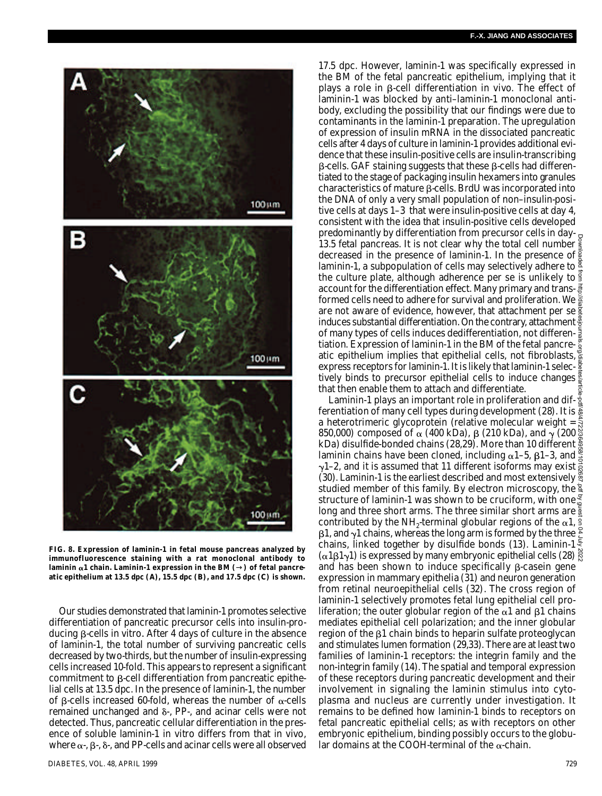

**FIG. 8. Expression of laminin-1 in fetal mouse pancreas analyzed by immunofluorescence staining with a rat monoclonal antibody to** laminin α1 chain. Laminin-1 expression in the BM () of fetal pancre**atic epithelium at 13.5 dpc (***A***), 15.5 dpc (***B***), and 17.5 dpc (***C***) is shown.**

Our studies demonstrated that laminin-1 promotes selective differentiation of pancreatic precursor cells into insulin-producing β-cells in vitro. After 4 days of culture in the absence of laminin-1, the total number of surviving pancreatic cells decreased by two-thirds, but the number of insulin-expressing cells increased 10-fold. This appears to represent a significant commitment to  $\beta$ -cell differentiation from pancreatic epithelial cells at 13.5 dpc. In the presence of laminin-1, the number of  $\beta$ -cells increased 60-fold, whereas the number of  $\alpha$ -cells remained unchanged and  $\delta$ -, PP-, and acinar cells were not detected. Thus, pancreatic cellular differentiation in the presence of soluble laminin-1 in vitro differs from that in vivo, where  $\alpha$ -,  $\beta$ -,  $\delta$ -, and PP-cells and acinar cells were all observed

17.5 dpc. However, laminin-1 was specifically expressed in the BM of the fetal pancreatic epithelium, implying that it plays a role in  $\beta$ -cell differentiation in vivo. The effect of laminin-1 was blocked by anti–laminin-1 monoclonal antibody, excluding the possibility that our findings were due to contaminants in the laminin-1 preparation. The upregulation of expression of insulin mRNA in the dissociated pancreatic cells after 4 days of culture in laminin-1 provides additional evidence that these insulin-positive cells are insulin-transcribing  $\beta$ -cells. GAF staining suggests that these  $\beta$ -cells had differentiated to the stage of packaging insulin hexamers into granules characteristics of mature  $\beta$ -cells. BrdU was incorporated into the DNA of only a very small population of non–insulin-positive cells at days 1–3 that were insulin-positive cells at day 4, consistent with the idea that insulin-positive cells developed predominantly by differentiation from precursor cells in day-13.5 fetal pancreas. It is not clear why the total cell number decreased in the presence of laminin-1. In the presence of  $\frac{5}{8}$ laminin-1, a subpopulation of cells may selectively adhere to  $\frac{a}{4}$ the culture plate, although adherence per se is unlikely to  $\frac{3}{5}$ account for the differentiation effect. Many primary and transformed cells need to adhere for survival and proliferation. We  $\geq$ are not aware of evidence, however, that attachment per se  $\frac{3}{4}$ induces substantial differentiation. On the contrary, attachment  $\frac{8}{5}$ of many types of cells induces dedifferentiation, not differentiation. Expression of laminin-1 in the BM of the fetal pancreatic epithelium implies that epithelial cells, not fibroblasts, express receptors for laminin-1. It is likely that laminin-1 selectively binds to precursor epithelial cells to induce changes  $\frac{8}{8}$ that then enable them to attach and differentiate.

Laminin-1 plays an important role in proliferation and dif- $\frac{3}{2}$ ferentiation of many cell types during development (28). It is  $\frac{5}{60}$ a heterotrimeric glycoprotein (relative molecular weight =  $\frac{2}{5}$ 850,000) composed of  $\alpha$  (400 kDa), β (210 kDa), and  $\gamma$  (200  $\frac{\aleph}{\aleph}$ kDa) disulfide-bonded chains (28,29). More than 10 different  $\frac{8}{9}$ laminin chains have been cloned, including  $\alpha$ 1–5,  $\beta$ 1–3, and  $\frac{\alpha}{6}$  $\gamma$ 1–2, and it is assumed that 11 different isoforms may exist  $\frac{2}{5}$ (30). Laminin-1 is the earliest described and most extensively  $\frac{88}{3}$ studied member of this family. By electron microscopy, the  $\frac{a}{4}$ structure of laminin-1 was shown to be cruciform, with one. long and three short arms. The three similar short arms are  $\frac{5}{8}$ contributed by the NH<sub>2</sub>-terminal globular regions of the  $\alpha$ 1,  $\beta$ 1, and  $\gamma$ 1 chains, whereas the long arm is formed by the three  $\frac{8}{5}$ chains, linked together by disulfide bonds (13). Laminin-1 $\frac{5}{5}$ ( $\alpha$ 1β1γ1) is expressed by many embryonic epithelial cells (28)  $\frac{8}{60}$ and has been shown to induce specifically  $\beta$ -casein gene expression in mammary epithelia (31) and neuron generation from retinal neuroepithelial cells (32). The cross region of laminin-1 selectively promotes fetal lung epithelial cell proliferation; the outer globular region of the  $\alpha$ 1 and  $\beta$ 1 chains mediates epithelial cell polarization; and the inner globular region of the  $\beta$ 1 chain binds to heparin sulfate proteoglycan and stimulates lumen formation (29,33). There are at least two families of laminin-1 receptors: the integrin family and the non-integrin family (14). The spatial and temporal expression of these receptors during pancreatic development and their involvement in signaling the laminin stimulus into cytoplasma and nucleus are currently under investigation. It remains to be defined how laminin-1 binds to receptors on fetal pancreatic epithelial cells; as with receptors on other embryonic epithelium, binding possibly occurs to the globular domains at the COOH-terminal of the  $\alpha$ -chain. Downloaded from http://diabetesjournals.org/diabetes/article-pdf/48/4/722/364958/10102687.pdf by guest on 04 July 2022